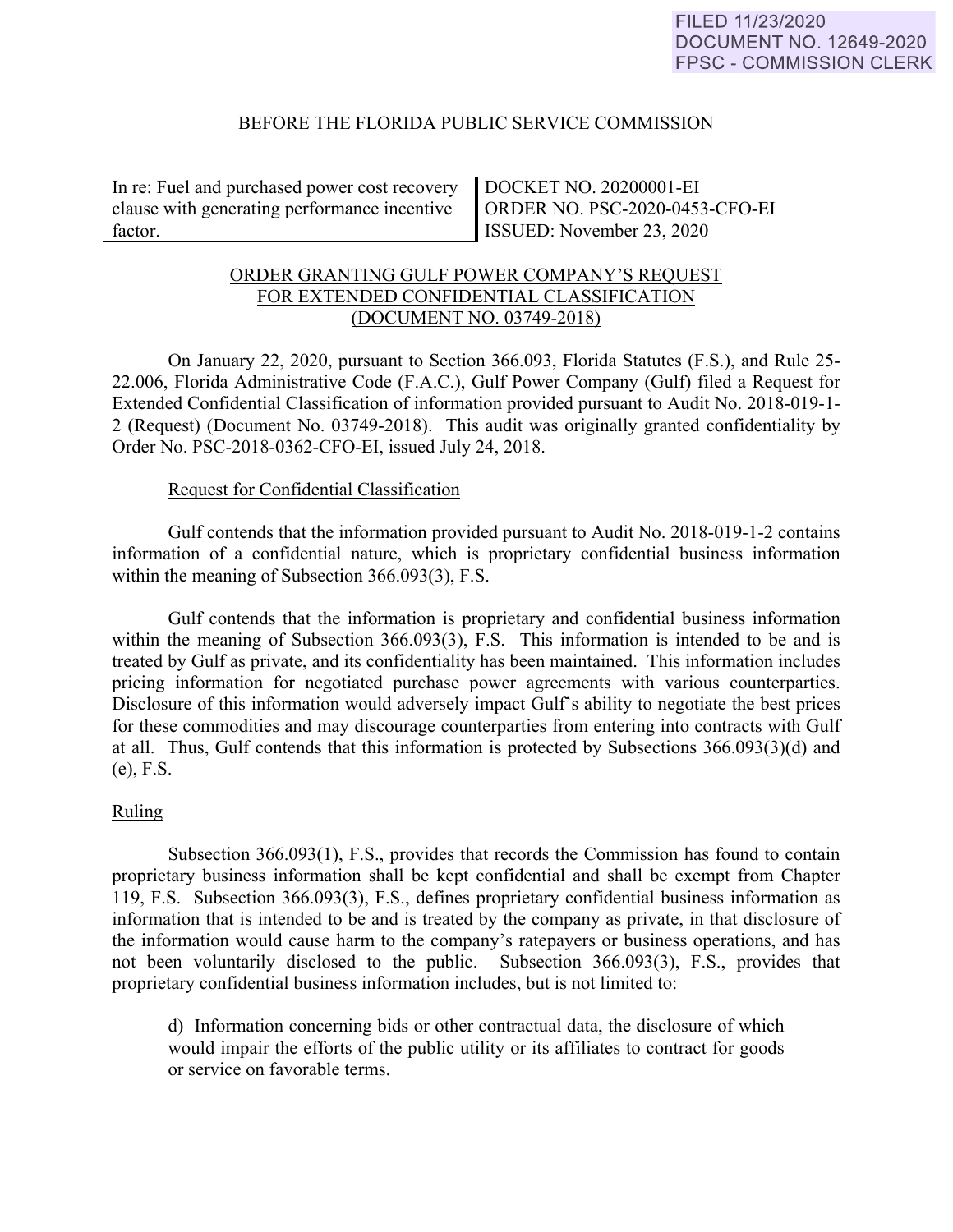### BEFORE THE FLORIDA PUBLIC SERVICE COMMISSION

In re: Fuel and purchased power cost recovery clause with generating performance incentive factor.

DOCKET NO. 20200001-EI ORDER NO. PSC-2020-0453-CFO-EI ISSUED: November 23, 2020

# ORDER GRANTING GULF POWER COMPANY'S REQUEST FOR EXTENDED CONFIDENTIAL CLASSIFICATION (DOCUMENT NO. 03749-2018)

 On January 22, 2020, pursuant to Section 366.093, Florida Statutes (F.S.), and Rule 25- 22.006, Florida Administrative Code (F.A.C.), Gulf Power Company (Gulf) filed a Request for Extended Confidential Classification of information provided pursuant to Audit No. 2018-019-1- 2 (Request) (Document No. 03749-2018). This audit was originally granted confidentiality by Order No. PSC-2018-0362-CFO-EI, issued July 24, 2018.

### Request for Confidential Classification

 Gulf contends that the information provided pursuant to Audit No. 2018-019-1-2 contains information of a confidential nature, which is proprietary confidential business information within the meaning of Subsection 366.093(3), F.S.

Gulf contends that the information is proprietary and confidential business information within the meaning of Subsection 366.093(3), F.S. This information is intended to be and is treated by Gulf as private, and its confidentiality has been maintained. This information includes pricing information for negotiated purchase power agreements with various counterparties. Disclosure of this information would adversely impact Gulf's ability to negotiate the best prices for these commodities and may discourage counterparties from entering into contracts with Gulf at all. Thus, Gulf contends that this information is protected by Subsections 366.093(3)(d) and (e), F.S.

## Ruling

Subsection 366.093(1), F.S., provides that records the Commission has found to contain proprietary business information shall be kept confidential and shall be exempt from Chapter 119, F.S. Subsection 366.093(3), F.S., defines proprietary confidential business information as information that is intended to be and is treated by the company as private, in that disclosure of the information would cause harm to the company's ratepayers or business operations, and has not been voluntarily disclosed to the public. Subsection 366.093(3), F.S., provides that proprietary confidential business information includes, but is not limited to:

d) Information concerning bids or other contractual data, the disclosure of which would impair the efforts of the public utility or its affiliates to contract for goods or service on favorable terms.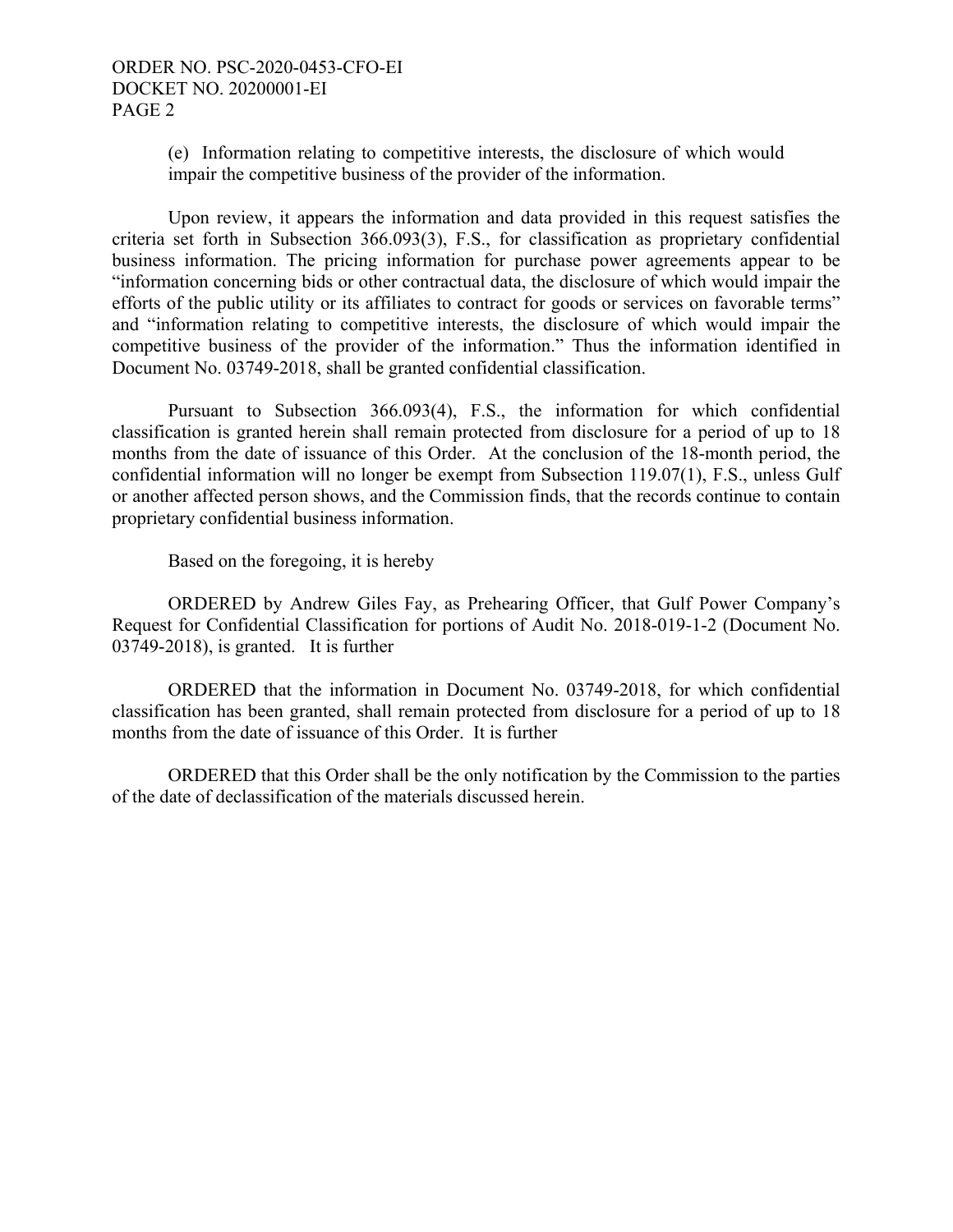(e) Information relating to competitive interests, the disclosure of which would impair the competitive business of the provider of the information.

 Upon review, it appears the information and data provided in this request satisfies the criteria set forth in Subsection 366.093(3), F.S., for classification as proprietary confidential business information. The pricing information for purchase power agreements appear to be "information concerning bids or other contractual data, the disclosure of which would impair the efforts of the public utility or its affiliates to contract for goods or services on favorable terms" and "information relating to competitive interests, the disclosure of which would impair the competitive business of the provider of the information." Thus the information identified in Document No. 03749-2018, shall be granted confidential classification.

Pursuant to Subsection 366.093(4), F.S., the information for which confidential classification is granted herein shall remain protected from disclosure for a period of up to 18 months from the date of issuance of this Order. At the conclusion of the 18-month period, the confidential information will no longer be exempt from Subsection 119.07(1), F.S., unless Gulf or another affected person shows, and the Commission finds, that the records continue to contain proprietary confidential business information.

Based on the foregoing, it is hereby

 ORDERED by Andrew Giles Fay, as Prehearing Officer, that Gulf Power Company's Request for Confidential Classification for portions of Audit No. 2018-019-1-2 (Document No. 03749-2018), is granted. It is further

 ORDERED that the information in Document No. 03749-2018, for which confidential classification has been granted, shall remain protected from disclosure for a period of up to 18 months from the date of issuance of this Order. It is further

 ORDERED that this Order shall be the only notification by the Commission to the parties of the date of declassification of the materials discussed herein.